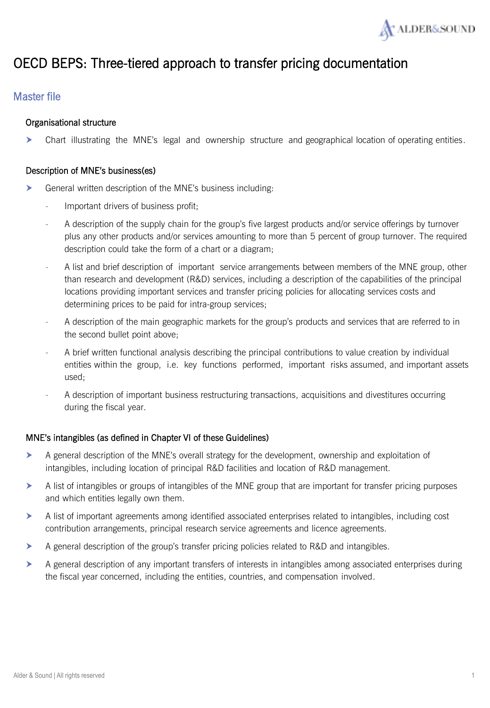

### Master file

#### Organisational structure

Chart illustrating the MNE's legal and ownership structure and geographical location of operating entities.

#### Description of MNE's business(es)

- General written description of the MNE's business including:
	- Important drivers of business profit;
	- A description of the supply chain for the group's five largest products and/or service offerings by turnover plus any other products and/or services amounting to more than 5 percent of group turnover. The required description could take the form of a chart or a diagram;
	- A list and brief description of important service arrangements between members of the MNE group, other than research and development (R&D) services, including a description of the capabilities of the principal locations providing important services and transfer pricing policies for allocating services costs and determining prices to be paid for intra-group services;
	- A description of the main geographic markets for the group's products and services that are referred to in the second bullet point above;
	- A brief written functional analysis describing the principal contributions to value creation by individual entities within the group, i.e. key functions performed, important risks assumed, and important assets used;
	- A description of important business restructuring transactions, acquisitions and divestitures occurring during the fiscal year.

#### MNE's intangibles (as defined in Chapter VI of these Guidelines)

- A general description of the MNE's overall strategy for the development, ownership and exploitation of intangibles, including location of principal R&D facilities and location of R&D management.
- A list of intangibles or groups of intangibles of the MNE group that are important for transfer pricing purposes and which entities legally own them.
- A list of important agreements among identified associated enterprises related to intangibles, including cost contribution arrangements, principal research service agreements and licence agreements.
- A general description of the group's transfer pricing policies related to R&D and intangibles.
- A general description of any important transfers of interests in intangibles among associated enterprises during the fiscal year concerned, including the entities, countries, and compensation involved.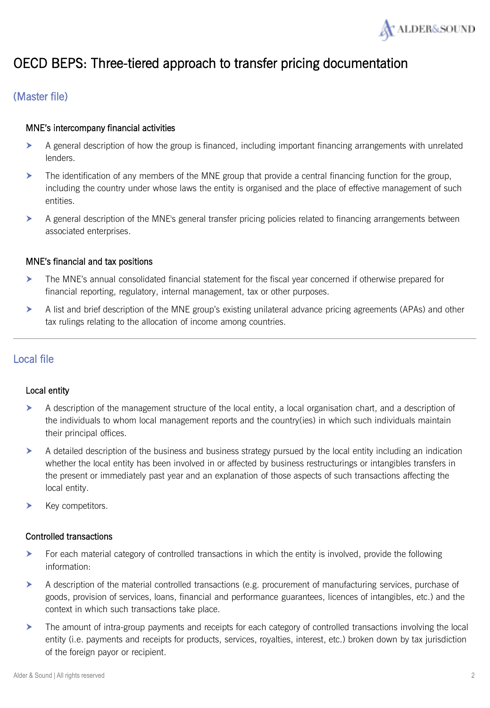

### (Master file)

#### MNE's intercompany financial activities

- A general description of how the group is financed, including important financing arrangements with unrelated lenders.
- The identification of any members of the MNE group that provide a central financing function for the group, including the country under whose laws the entity is organised and the place of effective management of such entities.
- A general description of the MNE's general transfer pricing policies related to financing arrangements between associated enterprises.

#### MNE's financial and tax positions

- The MNE's annual consolidated financial statement for the fiscal year concerned if otherwise prepared for financial reporting, regulatory, internal management, tax or other purposes.
- A list and brief description of the MNE group's existing unilateral advance pricing agreements (APAs) and other tax rulings relating to the allocation of income among countries.

### Local file

#### Local entity

- A description of the management structure of the local entity, a local organisation chart, and a description of the individuals to whom local management reports and the country(ies) in which such individuals maintain their principal offices.
- A detailed description of the business and business strategy pursued by the local entity including an indication whether the local entity has been involved in or affected by business restructurings or intangibles transfers in the present or immediately past year and an explanation of those aspects of such transactions affecting the local entity.
- $\blacktriangleright$  Key competitors.

#### Controlled transactions

- For each material category of controlled transactions in which the entity is involved, provide the following information:
- A description of the material controlled transactions (e.g. procurement of manufacturing services, purchase of goods, provision of services, loans, financial and performance guarantees, licences of intangibles, etc.) and the context in which such transactions take place.
- The amount of intra-group payments and receipts for each category of controlled transactions involving the local entity (i.e. payments and receipts for products, services, royalties, interest, etc.) broken down by tax jurisdiction of the foreign payor or recipient.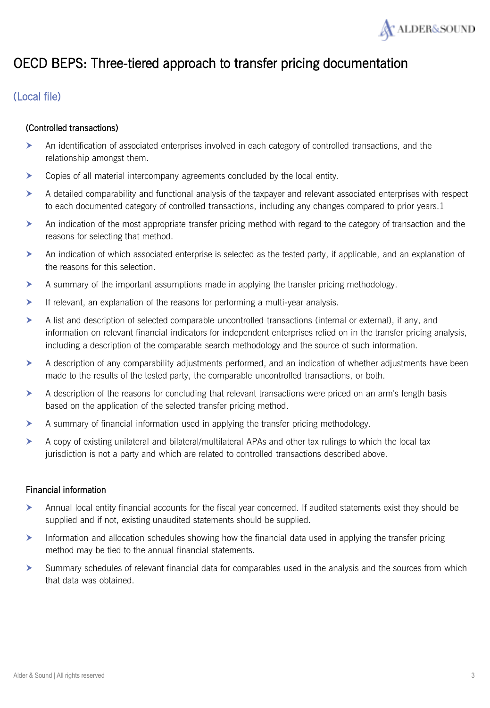

### (Local file)

#### (Controlled transactions)

- An identification of associated enterprises involved in each category of controlled transactions, and the relationship amongst them.
- Copies of all material intercompany agreements concluded by the local entity.
- A detailed comparability and functional analysis of the taxpayer and relevant associated enterprises with respect to each documented category of controlled transactions, including any changes compared to prior years.1
- An indication of the most appropriate transfer pricing method with regard to the category of transaction and the reasons for selecting that method.
- An indication of which associated enterprise is selected as the tested party, if applicable, and an explanation of the reasons for this selection.
- A summary of the important assumptions made in applying the transfer pricing methodology.
- If relevant, an explanation of the reasons for performing a multi-year analysis.
- A list and description of selected comparable uncontrolled transactions (internal or external), if any, and information on relevant financial indicators for independent enterprises relied on in the transfer pricing analysis, including a description of the comparable search methodology and the source of such information.
- A description of any comparability adjustments performed, and an indication of whether adjustments have been made to the results of the tested party, the comparable uncontrolled transactions, or both.
- A description of the reasons for concluding that relevant transactions were priced on an arm's length basis based on the application of the selected transfer pricing method.
- $\blacktriangleright$  A summary of financial information used in applying the transfer pricing methodology.
- A copy of existing unilateral and bilateral/multilateral APAs and other tax rulings to which the local tax jurisdiction is not a party and which are related to controlled transactions described above.

#### Financial information

- Annual local entity financial accounts for the fiscal year concerned. If audited statements exist they should be supplied and if not, existing unaudited statements should be supplied.
- Information and allocation schedules showing how the financial data used in applying the transfer pricing method may be tied to the annual financial statements.
- Summary schedules of relevant financial data for comparables used in the analysis and the sources from which that data was obtained.